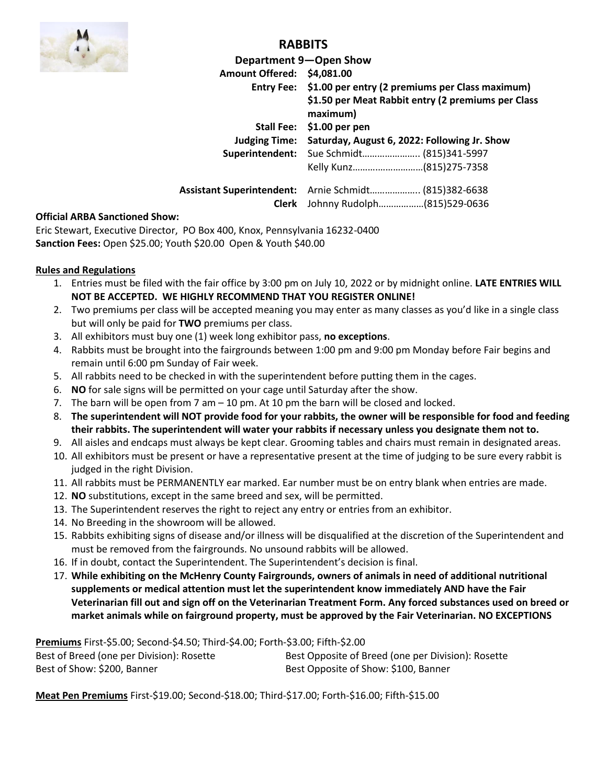

## **RABBITS**

|                                                       | Department 9-Open Show                                     |                                                    |  |
|-------------------------------------------------------|------------------------------------------------------------|----------------------------------------------------|--|
| Amount Offered: \$4,081.00                            |                                                            |                                                    |  |
|                                                       | Entry Fee: \$1.00 per entry (2 premiums per Class maximum) |                                                    |  |
|                                                       | maximum)                                                   | \$1.50 per Meat Rabbit entry (2 premiums per Class |  |
|                                                       | Stall Fee: \$1.00 per pen                                  |                                                    |  |
| <b>Judging Time:</b>                                  | Saturday, August 6, 2022: Following Jr. Show               |                                                    |  |
|                                                       | Superintendent: Sue Schmidt (815)341-5997                  |                                                    |  |
|                                                       | Kelly Kunz(815)275-7358                                    |                                                    |  |
| Assistant Superintendent: Arnie Schmidt (815)382-6638 |                                                            |                                                    |  |
| Clerk                                                 | Johnny Rudolph(815)529-0636                                |                                                    |  |

#### **Official ARBA Sanctioned Show:**

Eric Stewart, Executive Director, PO Box 400, Knox, Pennsylvania 16232-0400 **Sanction Fees:** Open \$25.00; Youth \$20.00 Open & Youth \$40.00

#### **Rules and Regulations**

- 1. Entries must be filed with the fair office by 3:00 pm on July 10, 2022 or by midnight online. **LATE ENTRIES WILL NOT BE ACCEPTED. WE HIGHLY RECOMMEND THAT YOU REGISTER ONLINE!**
- 2. Two premiums per class will be accepted meaning you may enter as many classes as you'd like in a single class but will only be paid for **TWO** premiums per class.
- 3. All exhibitors must buy one (1) week long exhibitor pass, **no exceptions**.
- 4. Rabbits must be brought into the fairgrounds between 1:00 pm and 9:00 pm Monday before Fair begins and remain until 6:00 pm Sunday of Fair week.
- 5. All rabbits need to be checked in with the superintendent before putting them in the cages.
- 6. **NO** for sale signs will be permitted on your cage until Saturday after the show.
- 7. The barn will be open from 7 am 10 pm. At 10 pm the barn will be closed and locked.
- 8. **The superintendent will NOT provide food for your rabbits, the owner will be responsible for food and feeding their rabbits. The superintendent will water your rabbits if necessary unless you designate them not to.**
- 9. All aisles and endcaps must always be kept clear. Grooming tables and chairs must remain in designated areas.
- 10. All exhibitors must be present or have a representative present at the time of judging to be sure every rabbit is judged in the right Division.
- 11. All rabbits must be PERMANENTLY ear marked. Ear number must be on entry blank when entries are made.
- 12. **NO** substitutions, except in the same breed and sex, will be permitted.
- 13. The Superintendent reserves the right to reject any entry or entries from an exhibitor.
- 14. No Breeding in the showroom will be allowed.
- 15. Rabbits exhibiting signs of disease and/or illness will be disqualified at the discretion of the Superintendent and must be removed from the fairgrounds. No unsound rabbits will be allowed.
- 16. If in doubt, contact the Superintendent. The Superintendent's decision is final.
- 17. **While exhibiting on the McHenry County Fairgrounds, owners of animals in need of additional nutritional supplements or medical attention must let the superintendent know immediately AND have the Fair Veterinarian fill out and sign off on the Veterinarian Treatment Form. Any forced substances used on breed or market animals while on fairground property, must be approved by the Fair Veterinarian. NO EXCEPTIONS**

**Premiums** First-\$5.00; Second-\$4.50; Third-\$4.00; Forth-\$3.00; Fifth-\$2.00

| Best of Breed (one per Division): Rosette | Best Opposite of Breed (one per Division): Rosette |
|-------------------------------------------|----------------------------------------------------|
| Best of Show: \$200, Banner               | Best Opposite of Show: \$100, Banner               |

**Meat Pen Premiums** First-\$19.00; Second-\$18.00; Third-\$17.00; Forth-\$16.00; Fifth-\$15.00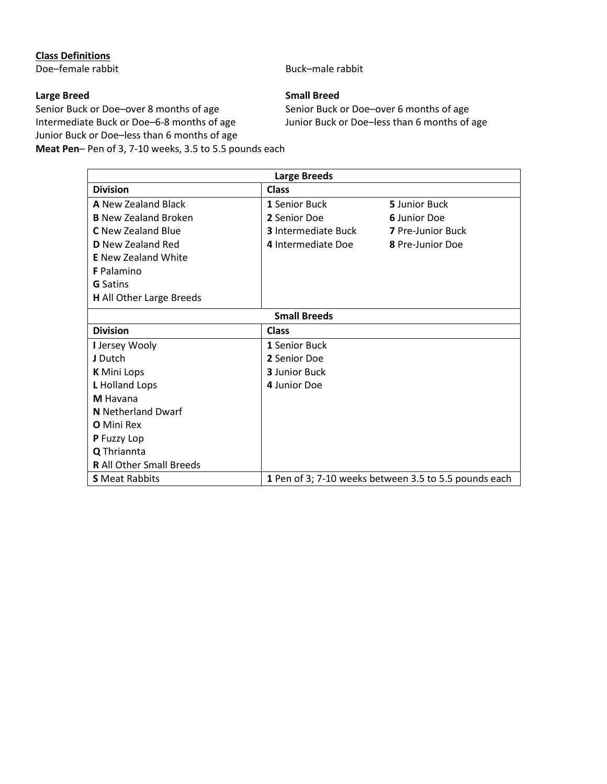### **Class Definitions**

Doe–female rabbit Buck–male rabbit

Senior Buck or Doe–over 8 months of age Senior Buck or Doe–over 6 months of age Intermediate Buck or Doe–6-8 months of age Junior Buck or Doe–less than 6 months of Junior Buck or Doe–less than 6 months of age **Meat Pen**– Pen of 3, 7-10 weeks, 3.5 to 5.5 pounds each

#### **Large Breed Small Breed**

Junior Buck or Doe–less than 6 months of age

| <b>Large Breeds</b>             |                            |                                                       |  |  |
|---------------------------------|----------------------------|-------------------------------------------------------|--|--|
| <b>Division</b>                 | <b>Class</b>               |                                                       |  |  |
| <b>A</b> New Zealand Black      | 1 Senior Buck              | 5 Junior Buck                                         |  |  |
| <b>B</b> New Zealand Broken     | 2 Senior Doe               | <b>6</b> Junior Doe                                   |  |  |
| <b>C</b> New Zealand Blue       | <b>3</b> Intermediate Buck | <b>7</b> Pre-Junior Buck                              |  |  |
| <b>D</b> New Zealand Red        | 4 Intermediate Doe         | 8 Pre-Junior Doe                                      |  |  |
| <b>E</b> New Zealand White      |                            |                                                       |  |  |
| <b>F</b> Palamino               |                            |                                                       |  |  |
| <b>G</b> Satins                 |                            |                                                       |  |  |
| <b>H</b> All Other Large Breeds |                            |                                                       |  |  |
| <b>Small Breeds</b>             |                            |                                                       |  |  |
| <b>Division</b>                 | Class                      |                                                       |  |  |
| I Jersey Wooly                  | 1 Senior Buck              |                                                       |  |  |
| J Dutch                         | 2 Senior Doe               |                                                       |  |  |
| <b>K</b> Mini Lops              | <b>3</b> Junior Buck       |                                                       |  |  |
| L Holland Lops                  | 4 Junior Doe               |                                                       |  |  |
| M Havana                        |                            |                                                       |  |  |
| <b>N</b> Netherland Dwarf       |                            |                                                       |  |  |
| <b>O</b> Mini Rex               |                            |                                                       |  |  |
| P Fuzzy Lop                     |                            |                                                       |  |  |
| Q Thriannta                     |                            |                                                       |  |  |
| <b>R</b> All Other Small Breeds |                            |                                                       |  |  |
| <b>S</b> Meat Rabbits           |                            | 1 Pen of 3; 7-10 weeks between 3.5 to 5.5 pounds each |  |  |